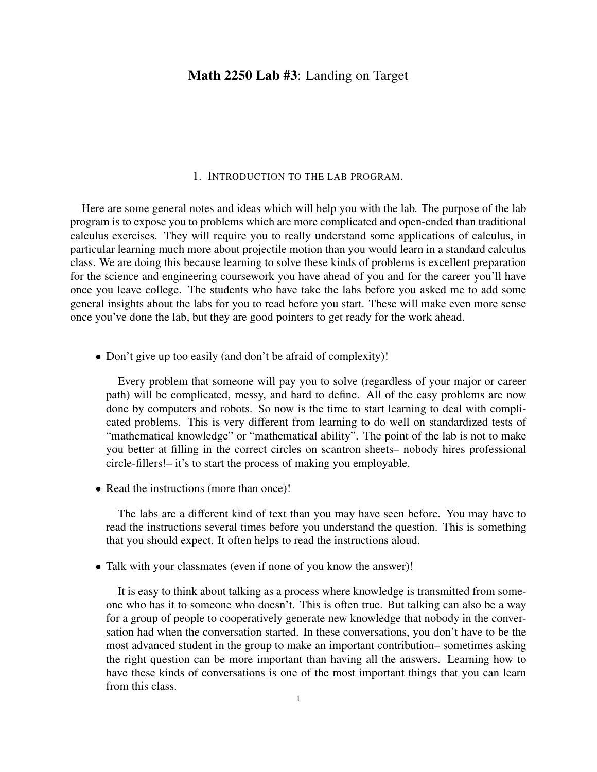# Math 2250 Lab #3: Landing on Target

#### 1. INTRODUCTION TO THE LAB PROGRAM.

Here are some general notes and ideas which will help you with the lab. The purpose of the lab program is to expose you to problems which are more complicated and open-ended than traditional calculus exercises. They will require you to really understand some applications of calculus, in particular learning much more about projectile motion than you would learn in a standard calculus class. We are doing this because learning to solve these kinds of problems is excellent preparation for the science and engineering coursework you have ahead of you and for the career you'll have once you leave college. The students who have take the labs before you asked me to add some general insights about the labs for you to read before you start. These will make even more sense once you've done the lab, but they are good pointers to get ready for the work ahead.

• Don't give up too easily (and don't be afraid of complexity)!

Every problem that someone will pay you to solve (regardless of your major or career path) will be complicated, messy, and hard to define. All of the easy problems are now done by computers and robots. So now is the time to start learning to deal with complicated problems. This is very different from learning to do well on standardized tests of "mathematical knowledge" or "mathematical ability". The point of the lab is not to make you better at filling in the correct circles on scantron sheets– nobody hires professional circle-fillers!– it's to start the process of making you employable.

• Read the instructions (more than once)!

The labs are a different kind of text than you may have seen before. You may have to read the instructions several times before you understand the question. This is something that you should expect. It often helps to read the instructions aloud.

• Talk with your classmates (even if none of you know the answer)!

It is easy to think about talking as a process where knowledge is transmitted from someone who has it to someone who doesn't. This is often true. But talking can also be a way for a group of people to cooperatively generate new knowledge that nobody in the conversation had when the conversation started. In these conversations, you don't have to be the most advanced student in the group to make an important contribution– sometimes asking the right question can be more important than having all the answers. Learning how to have these kinds of conversations is one of the most important things that you can learn from this class.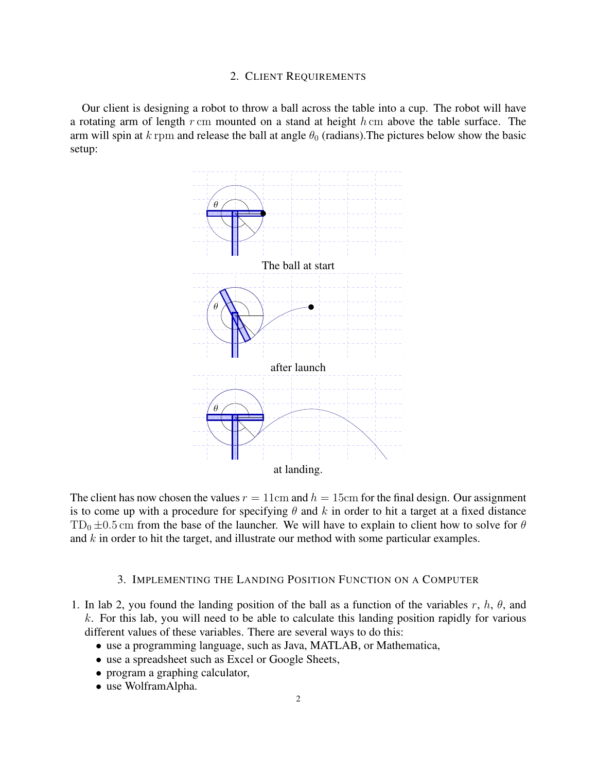### 2. CLIENT REQUIREMENTS

Our client is designing a robot to throw a ball across the table into a cup. The robot will have a rotating arm of length  $r$  cm mounted on a stand at height  $h$  cm above the table surface. The arm will spin at k rpm and release the ball at angle  $\theta_0$  (radians). The pictures below show the basic setup:



The client has now chosen the values  $r = 11$ cm and  $h = 15$ cm for the final design. Our assignment is to come up with a procedure for specifying  $\theta$  and k in order to hit a target at a fixed distance  $TD_0 \pm 0.5$  cm from the base of the launcher. We will have to explain to client how to solve for  $\theta$ and  $k$  in order to hit the target, and illustrate our method with some particular examples.

## 3. IMPLEMENTING THE LANDING POSITION FUNCTION ON A COMPUTER

- 1. In lab 2, you found the landing position of the ball as a function of the variables r, h,  $\theta$ , and  $k$ . For this lab, you will need to be able to calculate this landing position rapidly for various different values of these variables. There are several ways to do this:
	- use a programming language, such as Java, MATLAB, or Mathematica,
	- use a spreadsheet such as Excel or Google Sheets,
	- program a graphing calculator,
	- use WolframAlpha.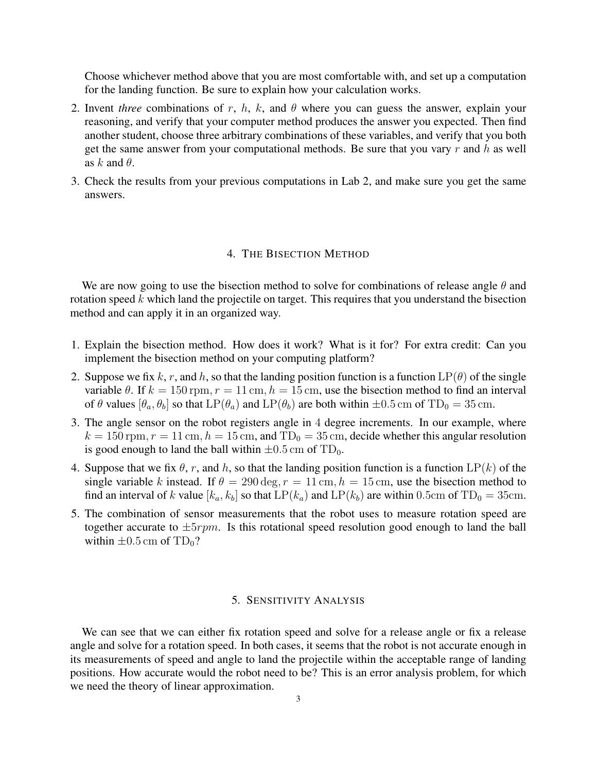Choose whichever method above that you are most comfortable with, and set up a computation for the landing function. Be sure to explain how your calculation works.

- 2. Invent *three* combinations of r, h, k, and  $\theta$  where you can guess the answer, explain your reasoning, and verify that your computer method produces the answer you expected. Then find another student, choose three arbitrary combinations of these variables, and verify that you both get the same answer from your computational methods. Be sure that you vary  $r$  and  $h$  as well as k and  $\theta$ .
- 3. Check the results from your previous computations in Lab 2, and make sure you get the same answers.

### 4. THE BISECTION METHOD

We are now going to use the bisection method to solve for combinations of release angle  $\theta$  and rotation speed  $k$  which land the projectile on target. This requires that you understand the bisection method and can apply it in an organized way.

- 1. Explain the bisection method. How does it work? What is it for? For extra credit: Can you implement the bisection method on your computing platform?
- 2. Suppose we fix k, r, and h, so that the landing position function is a function  $LP(\theta)$  of the single variable  $\theta$ . If  $k = 150$  rpm,  $r = 11$  cm,  $h = 15$  cm, use the bisection method to find an interval of  $\theta$  values  $[\theta_a, \theta_b]$  so that  $LP(\theta_a)$  and  $LP(\theta_b)$  are both within  $\pm 0.5$  cm of TD<sub>0</sub> = 35 cm.
- 3. The angle sensor on the robot registers angle in 4 degree increments. In our example, where  $k = 150$  rpm,  $r = 11$  cm,  $h = 15$  cm, and TD<sub>0</sub> = 35 cm, decide whether this angular resolution is good enough to land the ball within  $\pm 0.5$  cm of TD<sub>0</sub>.
- 4. Suppose that we fix  $\theta$ , r, and h, so that the landing position function is a function  $LP(k)$  of the single variable k instead. If  $\theta = 290 \text{ deg}, r = 11 \text{ cm}, h = 15 \text{ cm}$ , use the bisection method to find an interval of k value  $[k_a, k_b]$  so that  $LP(k_a)$  and  $LP(k_b)$  are within 0.5cm of TD<sub>0</sub> = 35cm.
- 5. The combination of sensor measurements that the robot uses to measure rotation speed are together accurate to  $\pm 5$ *rpm*. Is this rotational speed resolution good enough to land the ball within  $\pm 0.5$  cm of TD<sub>0</sub>?

## 5. SENSITIVITY ANALYSIS

We can see that we can either fix rotation speed and solve for a release angle or fix a release angle and solve for a rotation speed. In both cases, it seems that the robot is not accurate enough in its measurements of speed and angle to land the projectile within the acceptable range of landing positions. How accurate would the robot need to be? This is an error analysis problem, for which we need the theory of linear approximation.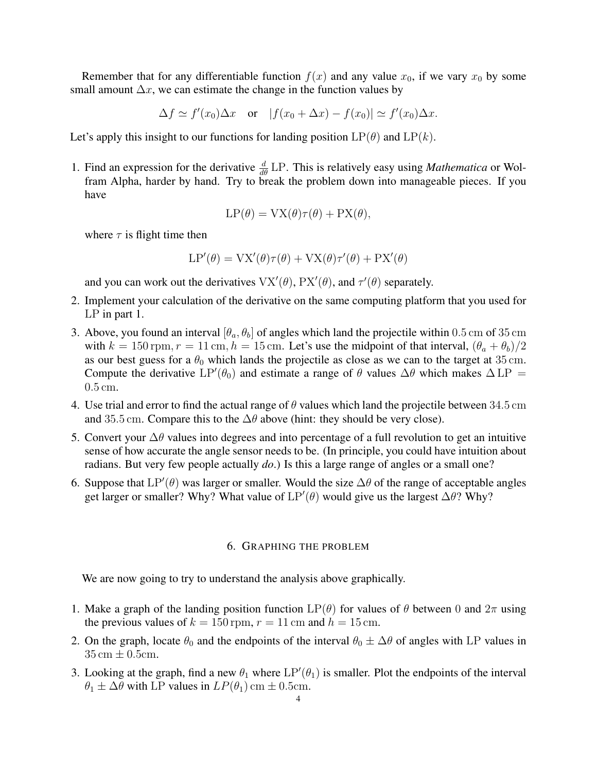Remember that for any differentiable function  $f(x)$  and any value  $x_0$ , if we vary  $x_0$  by some small amount  $\Delta x$ , we can estimate the change in the function values by

 $\Delta f \simeq f'(x_0) \Delta x$  or  $|f(x_0 + \Delta x) - f(x_0)| \simeq f'(x_0) \Delta x$ .

Let's apply this insight to our functions for landing position  $LP(\theta)$  and  $LP(k)$ .

1. Find an expression for the derivative  $\frac{d}{d\theta}$  LP. This is relatively easy using *Mathematica* or Wolfram Alpha, harder by hand. Try to break the problem down into manageable pieces. If you have

$$
LP(\theta) = \text{VX}(\theta)\tau(\theta) + \text{PX}(\theta),
$$

where  $\tau$  is flight time then

$$
LP'(\theta) = \text{VX}'(\theta)\tau(\theta) + \text{VX}(\theta)\tau'(\theta) + \text{PX}'(\theta)
$$

and you can work out the derivatives  $VX'(\theta)$ ,  $PX'(\theta)$ , and  $\tau'(\theta)$  separately.

- 2. Implement your calculation of the derivative on the same computing platform that you used for LP in part 1.
- 3. Above, you found an interval  $[\theta_a, \theta_b]$  of angles which land the projectile within 0.5 cm of 35 cm with  $k = 150$  rpm,  $r = 11$  cm,  $h = 15$  cm. Let's use the midpoint of that interval,  $(\theta_a + \theta_b)/2$ as our best guess for a  $\theta_0$  which lands the projectile as close as we can to the target at 35 cm. Compute the derivative LP'( $\theta_0$ ) and estimate a range of  $\theta$  values  $\Delta\theta$  which makes  $\Delta L$ P = 0.5 cm.
- 4. Use trial and error to find the actual range of  $\theta$  values which land the projectile between 34.5 cm and 35.5 cm. Compare this to the  $\Delta\theta$  above (hint: they should be very close).
- 5. Convert your  $\Delta\theta$  values into degrees and into percentage of a full revolution to get an intuitive sense of how accurate the angle sensor needs to be. (In principle, you could have intuition about radians. But very few people actually *do*.) Is this a large range of angles or a small one?
- 6. Suppose that  $LP'(\theta)$  was larger or smaller. Would the size  $\Delta\theta$  of the range of acceptable angles get larger or smaller? Why? What value of  $LP'(\theta)$  would give us the largest  $\Delta\theta$ ? Why?

#### 6. GRAPHING THE PROBLEM

We are now going to try to understand the analysis above graphically.

- 1. Make a graph of the landing position function  $LP(\theta)$  for values of  $\theta$  between 0 and  $2\pi$  using the previous values of  $k = 150$  rpm,  $r = 11$  cm and  $h = 15$  cm.
- 2. On the graph, locate  $\theta_0$  and the endpoints of the interval  $\theta_0 \pm \Delta \theta$  of angles with LP values in  $35 \text{ cm} \pm 0.5 \text{ cm}$ .
- 3. Looking at the graph, find a new  $\theta_1$  where  $LP'(\theta_1)$  is smaller. Plot the endpoints of the interval  $\theta_1 \pm \Delta \theta$  with LP values in  $LP(\theta_1)$  cm  $\pm$  0.5cm.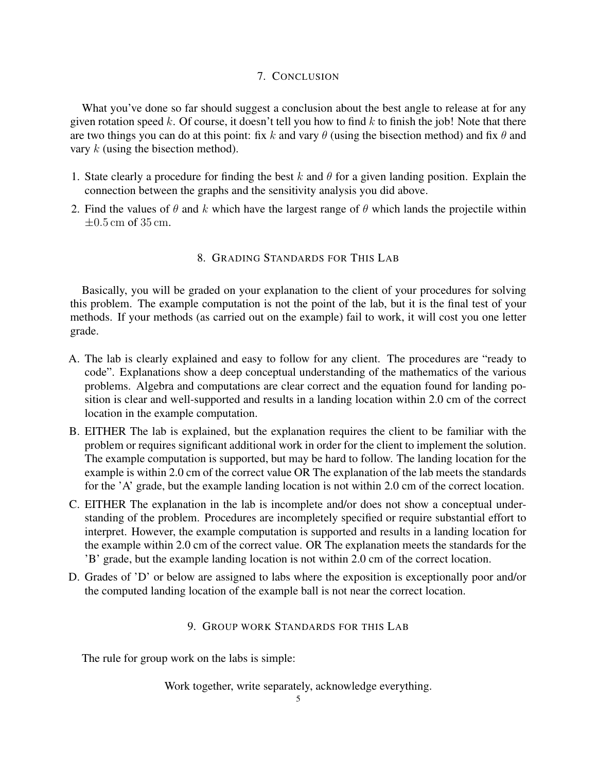## 7. CONCLUSION

What you've done so far should suggest a conclusion about the best angle to release at for any given rotation speed k. Of course, it doesn't tell you how to find k to finish the job! Note that there are two things you can do at this point: fix k and vary  $\theta$  (using the bisection method) and fix  $\theta$  and vary k (using the bisection method).

- 1. State clearly a procedure for finding the best k and  $\theta$  for a given landing position. Explain the connection between the graphs and the sensitivity analysis you did above.
- 2. Find the values of  $\theta$  and k which have the largest range of  $\theta$  which lands the projectile within  $\pm 0.5$  cm of 35 cm.

## 8. GRADING STANDARDS FOR THIS LAB

Basically, you will be graded on your explanation to the client of your procedures for solving this problem. The example computation is not the point of the lab, but it is the final test of your methods. If your methods (as carried out on the example) fail to work, it will cost you one letter grade.

- A. The lab is clearly explained and easy to follow for any client. The procedures are "ready to code". Explanations show a deep conceptual understanding of the mathematics of the various problems. Algebra and computations are clear correct and the equation found for landing position is clear and well-supported and results in a landing location within 2.0 cm of the correct location in the example computation.
- B. EITHER The lab is explained, but the explanation requires the client to be familiar with the problem or requires significant additional work in order for the client to implement the solution. The example computation is supported, but may be hard to follow. The landing location for the example is within 2.0 cm of the correct value OR The explanation of the lab meets the standards for the 'A' grade, but the example landing location is not within 2.0 cm of the correct location.
- C. EITHER The explanation in the lab is incomplete and/or does not show a conceptual understanding of the problem. Procedures are incompletely specified or require substantial effort to interpret. However, the example computation is supported and results in a landing location for the example within 2.0 cm of the correct value. OR The explanation meets the standards for the 'B' grade, but the example landing location is not within 2.0 cm of the correct location.
- D. Grades of 'D' or below are assigned to labs where the exposition is exceptionally poor and/or the computed landing location of the example ball is not near the correct location.

# 9. GROUP WORK STANDARDS FOR THIS LAB

The rule for group work on the labs is simple:

Work together, write separately, acknowledge everything.